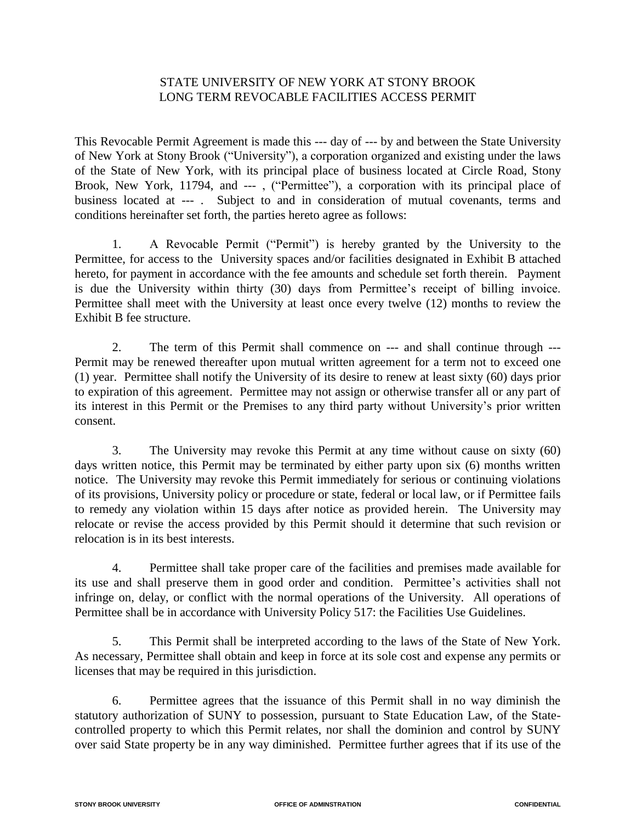# STATE UNIVERSITY OF NEW YORK AT STONY BROOK LONG TERM REVOCABLE FACILITIES ACCESS PERMIT

This Revocable Permit Agreement is made this --- day of --- by and between the State University of New York at Stony Brook ("University"), a corporation organized and existing under the laws of the State of New York, with its principal place of business located at Circle Road, Stony Brook, New York, 11794, and ---, ("Permittee"), a corporation with its principal place of business located at --- . Subject to and in consideration of mutual covenants, terms and conditions hereinafter set forth, the parties hereto agree as follows:

1. A Revocable Permit ("Permit") is hereby granted by the University to the Permittee, for access to the University spaces and/or facilities designated in Exhibit B attached hereto, for payment in accordance with the fee amounts and schedule set forth therein. Payment is due the University within thirty (30) days from Permittee's receipt of billing invoice. Permittee shall meet with the University at least once every twelve (12) months to review the Exhibit B fee structure.

2. The term of this Permit shall commence on --- and shall continue through --- Permit may be renewed thereafter upon mutual written agreement for a term not to exceed one (1) year. Permittee shall notify the University of its desire to renew at least sixty (60) days prior to expiration of this agreement. Permittee may not assign or otherwise transfer all or any part of its interest in this Permit or the Premises to any third party without University's prior written consent.

3. The University may revoke this Permit at any time without cause on sixty (60) days written notice, this Permit may be terminated by either party upon six (6) months written notice. The University may revoke this Permit immediately for serious or continuing violations of its provisions, University policy or procedure or state, federal or local law, or if Permittee fails to remedy any violation within 15 days after notice as provided herein. The University may relocate or revise the access provided by this Permit should it determine that such revision or relocation is in its best interests.

 4. Permittee shall take proper care of the facilities and premises made available for its use and shall preserve them in good order and condition. Permittee's activities shall not infringe on, delay, or conflict with the normal operations of the University. All operations of Permittee shall be in accordance with University Policy 517: the Facilities Use Guidelines.

5. This Permit shall be interpreted according to the laws of the State of New York. As necessary, Permittee shall obtain and keep in force at its sole cost and expense any permits or licenses that may be required in this jurisdiction.

6. Permittee agrees that the issuance of this Permit shall in no way diminish the statutory authorization of SUNY to possession, pursuant to State Education Law, of the Statecontrolled property to which this Permit relates, nor shall the dominion and control by SUNY over said State property be in any way diminished. Permittee further agrees that if its use of the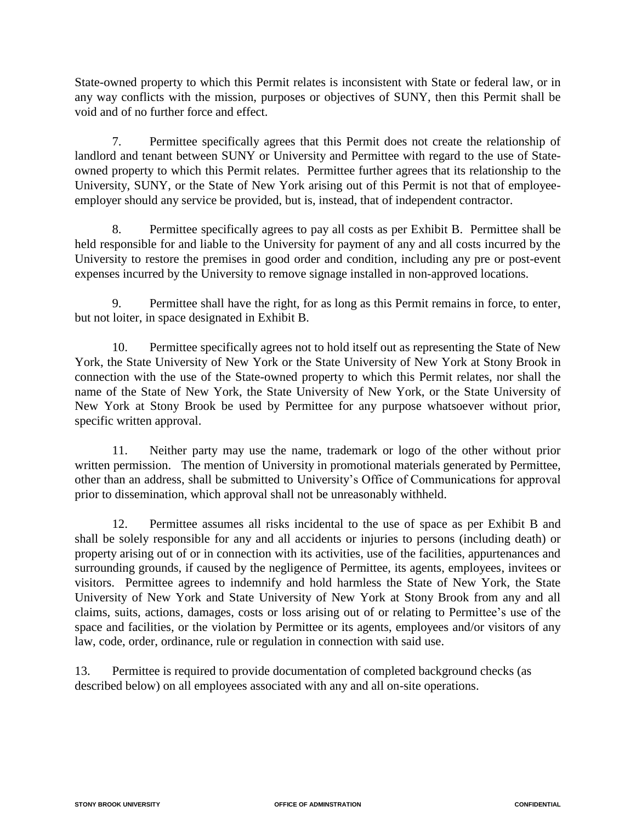State-owned property to which this Permit relates is inconsistent with State or federal law, or in any way conflicts with the mission, purposes or objectives of SUNY, then this Permit shall be void and of no further force and effect.

7. Permittee specifically agrees that this Permit does not create the relationship of landlord and tenant between SUNY or University and Permittee with regard to the use of Stateowned property to which this Permit relates. Permittee further agrees that its relationship to the University, SUNY, or the State of New York arising out of this Permit is not that of employeeemployer should any service be provided, but is, instead, that of independent contractor.

8. Permittee specifically agrees to pay all costs as per Exhibit B. Permittee shall be held responsible for and liable to the University for payment of any and all costs incurred by the University to restore the premises in good order and condition, including any pre or post-event expenses incurred by the University to remove signage installed in non-approved locations.

9. Permittee shall have the right, for as long as this Permit remains in force, to enter, but not loiter, in space designated in Exhibit B.

10. Permittee specifically agrees not to hold itself out as representing the State of New York, the State University of New York or the State University of New York at Stony Brook in connection with the use of the State-owned property to which this Permit relates, nor shall the name of the State of New York, the State University of New York, or the State University of New York at Stony Brook be used by Permittee for any purpose whatsoever without prior, specific written approval.

11. Neither party may use the name, trademark or logo of the other without prior written permission. The mention of University in promotional materials generated by Permittee, other than an address, shall be submitted to University's Office of Communications for approval prior to dissemination, which approval shall not be unreasonably withheld.

12. Permittee assumes all risks incidental to the use of space as per Exhibit B and shall be solely responsible for any and all accidents or injuries to persons (including death) or property arising out of or in connection with its activities, use of the facilities, appurtenances and surrounding grounds, if caused by the negligence of Permittee, its agents, employees, invitees or visitors. Permittee agrees to indemnify and hold harmless the State of New York, the State University of New York and State University of New York at Stony Brook from any and all claims, suits, actions, damages, costs or loss arising out of or relating to Permittee's use of the space and facilities, or the violation by Permittee or its agents, employees and/or visitors of any law, code, order, ordinance, rule or regulation in connection with said use.

13. Permittee is required to provide documentation of completed background checks (as described below) on all employees associated with any and all on-site operations.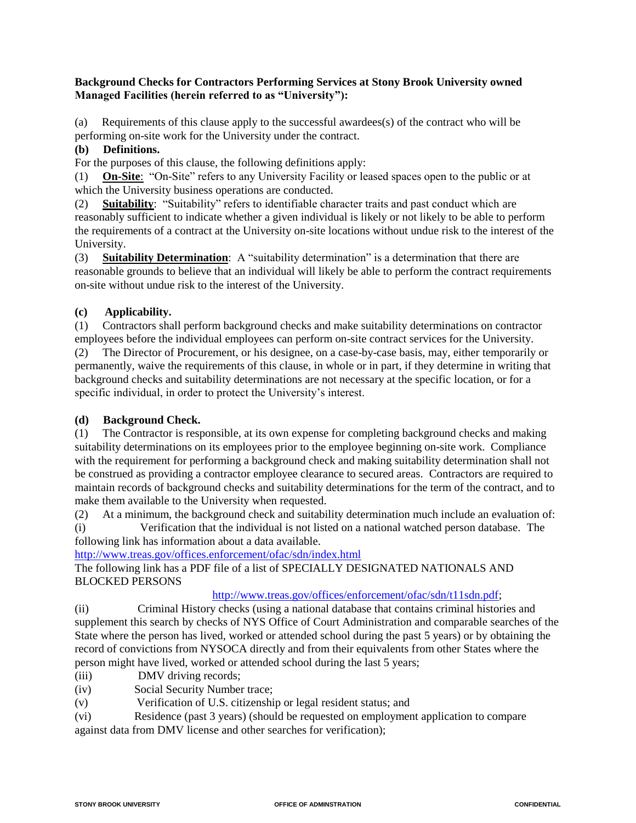### **Background Checks for Contractors Performing Services at Stony Brook University owned Managed Facilities (herein referred to as "University"):**

(a) Requirements of this clause apply to the successful awardees(s) of the contract who will be performing on-site work for the University under the contract.

### **(b) Definitions.**

For the purposes of this clause, the following definitions apply:

(1) **On-Site**: "On-Site" refers to any University Facility or leased spaces open to the public or at which the University business operations are conducted.

(2) **Suitability**: "Suitability" refers to identifiable character traits and past conduct which are reasonably sufficient to indicate whether a given individual is likely or not likely to be able to perform the requirements of a contract at the University on-site locations without undue risk to the interest of the University.

(3) **Suitability Determination**: A "suitability determination" is a determination that there are reasonable grounds to believe that an individual will likely be able to perform the contract requirements on-site without undue risk to the interest of the University.

### **(c) Applicability.**

(1) Contractors shall perform background checks and make suitability determinations on contractor employees before the individual employees can perform on-site contract services for the University. (2) The Director of Procurement, or his designee, on a case-by-case basis, may, either temporarily or permanently, waive the requirements of this clause, in whole or in part, if they determine in writing that background checks and suitability determinations are not necessary at the specific location, or for a specific individual, in order to protect the University's interest.

### **(d) Background Check.**

(1) The Contractor is responsible, at its own expense for completing background checks and making suitability determinations on its employees prior to the employee beginning on-site work. Compliance with the requirement for performing a background check and making suitability determination shall not be construed as providing a contractor employee clearance to secured areas. Contractors are required to maintain records of background checks and suitability determinations for the term of the contract, and to make them available to the University when requested.

(2) At a minimum, the background check and suitability determination much include an evaluation of: (i) Verification that the individual is not listed on a national watched person database. The

following link has information about a data available. <http://www.treas.gov/offices.enforcement/ofac/sdn/index.html>

The following link has a PDF file of a list of SPECIALLY DESIGNATED NATIONALS AND BLOCKED PERSONS

### [http://www.treas.gov/offices/enforcement/ofac/sdn/t11sdn.pdf;](http://www.treas.gov/offices/enforcement/ofac/sdn/t11sdn.pdf)

(ii) Criminal History checks (using a national database that contains criminal histories and supplement this search by checks of NYS Office of Court Administration and comparable searches of the State where the person has lived, worked or attended school during the past 5 years) or by obtaining the record of convictions from NYSOCA directly and from their equivalents from other States where the person might have lived, worked or attended school during the last 5 years;

- (iii) DMV driving records;
- (iv) Social Security Number trace;
- (v) Verification of U.S. citizenship or legal resident status; and
- (vi) Residence (past 3 years) (should be requested on employment application to compare against data from DMV license and other searches for verification);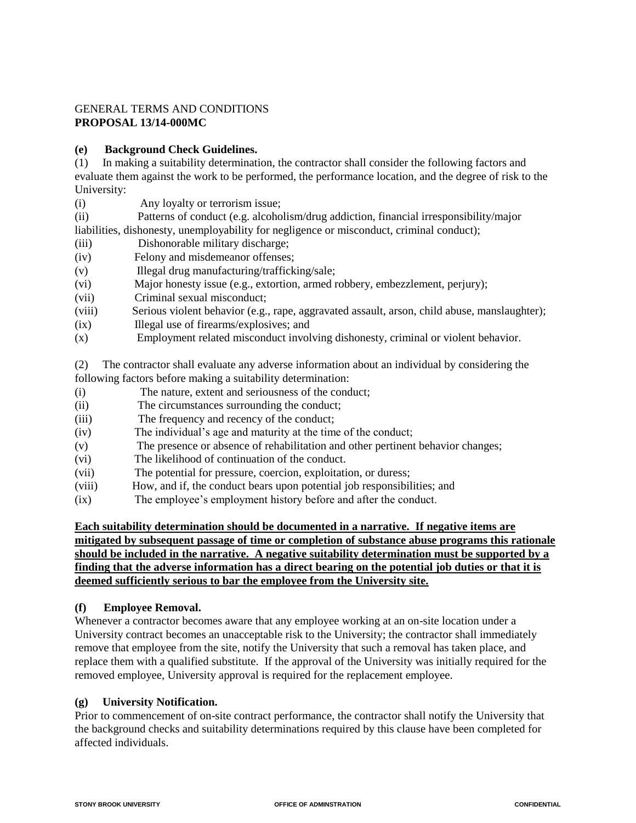### GENERAL TERMS AND CONDITIONS **PROPOSAL 13/14-000MC**

### **(e) Background Check Guidelines.**

(1) In making a suitability determination, the contractor shall consider the following factors and evaluate them against the work to be performed, the performance location, and the degree of risk to the University:

(i) Any loyalty or terrorism issue;

(ii) Patterns of conduct (e.g. alcoholism/drug addiction, financial irresponsibility/major liabilities, dishonesty, unemployability for negligence or misconduct, criminal conduct);

- (iii) Dishonorable military discharge;
- (iv) Felony and misdemeanor offenses;
- (v) Illegal drug manufacturing/trafficking/sale;
- (vi) Major honesty issue (e.g., extortion, armed robbery, embezzlement, perjury);
- (vii) Criminal sexual misconduct;
- (viii) Serious violent behavior (e.g., rape, aggravated assault, arson, child abuse, manslaughter);
- (ix) Illegal use of firearms/explosives; and
- (x) Employment related misconduct involving dishonesty, criminal or violent behavior.

(2) The contractor shall evaluate any adverse information about an individual by considering the following factors before making a suitability determination:

- (i) The nature, extent and seriousness of the conduct;
- (ii) The circumstances surrounding the conduct;
- (iii) The frequency and recency of the conduct;
- (iv) The individual's age and maturity at the time of the conduct;
- (v) The presence or absence of rehabilitation and other pertinent behavior changes;
- (vi) The likelihood of continuation of the conduct.
- (vii) The potential for pressure, coercion, exploitation, or duress;
- (viii) How, and if, the conduct bears upon potential job responsibilities; and
- (ix) The employee's employment history before and after the conduct.

**Each suitability determination should be documented in a narrative. If negative items are mitigated by subsequent passage of time or completion of substance abuse programs this rationale should be included in the narrative. A negative suitability determination must be supported by a finding that the adverse information has a direct bearing on the potential job duties or that it is deemed sufficiently serious to bar the employee from the University site.**

### **(f) Employee Removal.**

Whenever a contractor becomes aware that any employee working at an on-site location under a University contract becomes an unacceptable risk to the University; the contractor shall immediately remove that employee from the site, notify the University that such a removal has taken place, and replace them with a qualified substitute. If the approval of the University was initially required for the removed employee, University approval is required for the replacement employee.

### **(g) University Notification.**

Prior to commencement of on-site contract performance, the contractor shall notify the University that the background checks and suitability determinations required by this clause have been completed for affected individuals.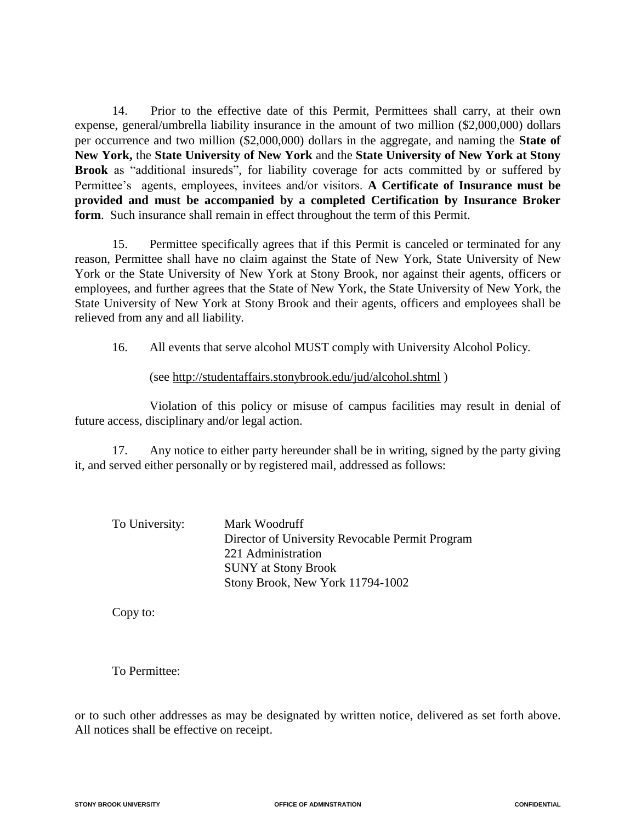14. Prior to the effective date of this Permit, Permittees shall carry, at their own expense, general/umbrella liability insurance in the amount of two million (\$2,000,000) dollars per occurrence and two million (\$2,000,000) dollars in the aggregate, and naming the **State of New York,** the **State University of New York** and the **State University of New York at Stony Brook** as "additional insureds", for liability coverage for acts committed by or suffered by Permittee's agents, employees, invitees and/or visitors. **A Certificate of Insurance must be provided and must be accompanied by a completed Certification by Insurance Broker form**. Such insurance shall remain in effect throughout the term of this Permit.

15. Permittee specifically agrees that if this Permit is canceled or terminated for any reason, Permittee shall have no claim against the State of New York, State University of New York or the State University of New York at Stony Brook, nor against their agents, officers or employees, and further agrees that the State of New York, the State University of New York, the State University of New York at Stony Brook and their agents, officers and employees shall be relieved from any and all liability.

16. All events that serve alcohol MUST comply with University Alcohol Policy.

(see http://studentaffairs.stonybrook.edu/jud/alcohol.shtml )

 Violation of this policy or misuse of campus facilities may result in denial of future access, disciplinary and/or legal action.

17. Any notice to either party hereunder shall be in writing, signed by the party giving it, and served either personally or by registered mail, addressed as follows:

| To University: | Mark Woodruff                                   |
|----------------|-------------------------------------------------|
|                | Director of University Revocable Permit Program |
|                | 221 Administration                              |
|                | <b>SUNY</b> at Stony Brook                      |
|                | Stony Brook, New York 11794-1002                |

Copy to:

To Permittee:

or to such other addresses as may be designated by written notice, delivered as set forth above. All notices shall be effective on receipt.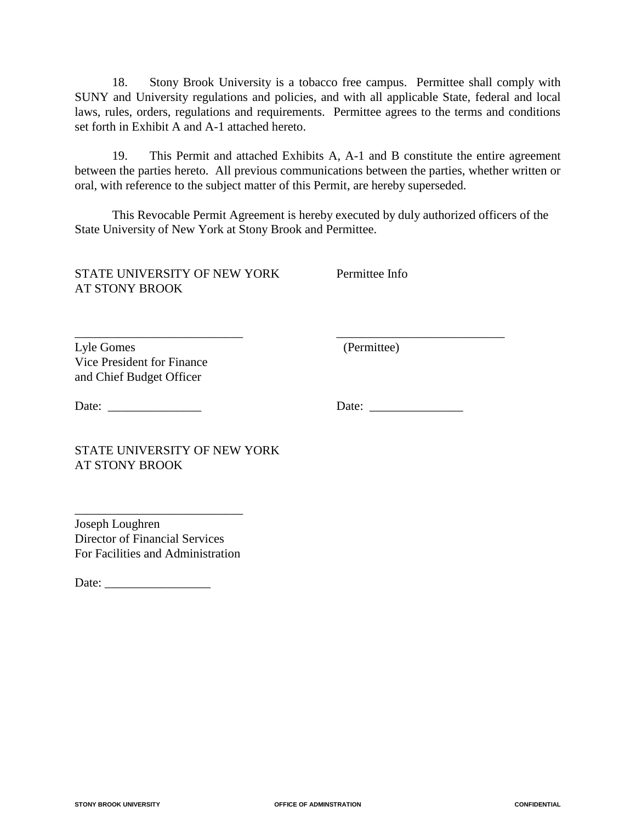18. Stony Brook University is a tobacco free campus. Permittee shall comply with SUNY and University regulations and policies, and with all applicable State, federal and local laws, rules, orders, regulations and requirements. Permittee agrees to the terms and conditions set forth in Exhibit A and A-1 attached hereto.

19. This Permit and attached Exhibits A, A-1 and B constitute the entire agreement between the parties hereto. All previous communications between the parties, whether written or oral, with reference to the subject matter of this Permit, are hereby superseded.

This Revocable Permit Agreement is hereby executed by duly authorized officers of the State University of New York at Stony Brook and Permittee.

\_\_\_\_\_\_\_\_\_\_\_\_\_\_\_\_\_\_\_\_\_\_\_\_\_\_\_ \_\_\_\_\_\_\_\_\_\_\_\_\_\_\_\_\_\_\_\_\_\_\_\_\_\_\_

STATE UNIVERSITY OF NEW YORK Permittee Info AT STONY BROOK

Lyle Gomes (Permittee) Vice President for Finance and Chief Budget Officer

Date: \_\_\_\_\_\_\_\_\_\_\_\_\_\_\_ Date: \_\_\_\_\_\_\_\_\_\_\_\_\_\_\_

STATE UNIVERSITY OF NEW YORK AT STONY BROOK

Joseph Loughren Director of Financial Services For Facilities and Administration

\_\_\_\_\_\_\_\_\_\_\_\_\_\_\_\_\_\_\_\_\_\_\_\_\_\_\_

Date: \_\_\_\_\_\_\_\_\_\_\_\_\_\_\_\_\_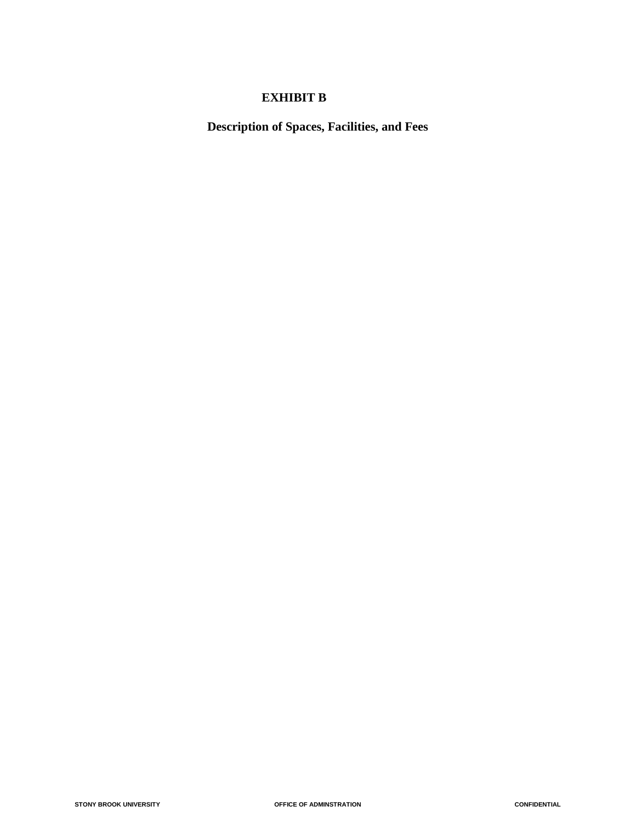## **EXHIBIT B**

**Description of Spaces, Facilities, and Fees**